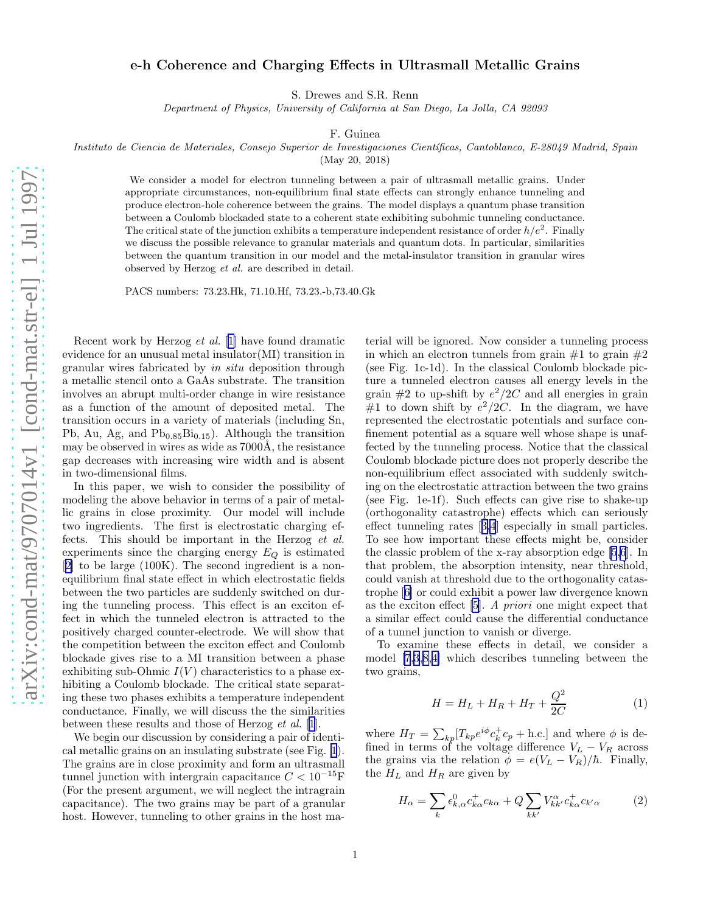## e-h Coherence and Charging Effects in Ultrasmall Metallic Grains

S. Drewes and S.R. Renn

Department of Physics, University of California at San Diego, La Jolla, CA 92093

F. Guinea

Instituto de Ciencia de Materiales, Consejo Superior de Investigaciones Científicas, Cantoblanco, E-28049 Madrid, Spain

(May 20, 2018)

We consider a model for electron tunneling between a pair of ultrasmall metallic grains. Under appropriate circumstances, non-equilibrium final state effects can strongly enhance tunneling and produce electron-hole coherence between the grains. The model displays a quantum phase transition between a Coulomb blockaded state to a coherent state exhibiting subohmic tunneling conductance. The critical state of the junction exhibits a temperature independent resistance of order  $h/e^2$ . Finally we discuss the possible relevance to granular materials and quantum dots. In particular, similarities between the quantum transition in our model and the metal-insulator transition in granular wires observed by Herzog et al. are described in detail.

PACS numbers: 73.23.Hk, 71.10.Hf, 73.23.-b,73.40.Gk

Recent work by Herzog et al. [[1\]](#page-4-0) have found dramatic evidence for an unusual metal insulator(MI) transition in granular wires fabricated by in situ deposition through a metallic stencil onto a GaAs substrate. The transition involves an abrupt multi-order change in wire resistance as a function of the amount of deposited metal. The transition occurs in a variety of materials (including Sn, Pb, Au, Ag, and  $Pb_{0.85}Bi_{0.15}$ . Although the transition may be observed in wires as wide as  $7000\text{\AA}$ , the resistance gap decreases with increasing wire width and is absent in two-dimensional films.

In this paper, we wish to consider the possibility of modeling the above behavior in terms of a pair of metallic grains in close proximity. Our model will include two ingredients. The first is electrostatic charging effects. This should be important in the Herzog et al. experiments since the charging energy  $E_Q$  is estimated [[2\]](#page-4-0) to be large (100K). The second ingredient is a nonequilibrium final state effect in which electrostatic fields between the two particles are suddenly switched on during the tunneling process. This effect is an exciton effect in which the tunneled electron is attracted to the positively charged counter-electrode. We will show that the competition between the exciton effect and Coulomb blockade gives rise to a MI transition between a phase exhibiting sub-Ohmic  $I(V)$  characteristics to a phase exhibiting a Coulomb blockade. The critical state separating these two phases exhibits a temperature independent conductance. Finally, we will discuss the the similarities between these results and those of Herzog et al. [\[1](#page-4-0)].

We begin our discussion by considering a pair of identical metallic grains on an insulating substrate (see Fig. [1](#page-1-0)). The grains are in close proximity and form an ultrasmall tunnel junction with intergrain capacitance  $C < 10^{-15}$ F (For the present argument, we will neglect the intragrain capacitance). The two grains may be part of a granular host. However, tunneling to other grains in the host ma-

terial will be ignored. Now consider a tunneling process in which an electron tunnels from grain  $#1$  to grain  $#2$ (see Fig. 1c-1d). In the classical Coulomb blockade picture a tunneled electron causes all energy levels in the grain  $#2$  to up-shift by  $e^2/2C$  and all energies in grain #1 to down shift by  $e^2/2C$ . In the diagram, we have represented the electrostatic potentials and surface confinement potential as a square well whose shape is unaffected by the tunneling process. Notice that the classical Coulomb blockade picture does not properly describe the non-equilibrium effect associated with suddenly switching on the electrostatic attraction between the two grains (see Fig. 1e-1f). Such effects can give rise to shake-up (orthogonality catastrophe) effects which can seriously effect tunneling rates[[3,4](#page-4-0)] especially in small particles. To see how important these effects might be, consider the classic problem of the x-ray absorption edge [\[5,6](#page-4-0)]. In that problem, the absorption intensity, near threshold, could vanish at threshold due to the orthogonality catastrophe[[6\]](#page-4-0) or could exhibit a power law divergence known as the exciton effect [\[5](#page-4-0)]. A priori one might expect that a similar effect could cause the differential conductance of a tunnel junction to vanish or diverge.

To examine these effects in detail, we consider a model [\[7,3](#page-4-0),[8,4\]](#page-4-0) which describes tunneling between the two grains,

$$
H = H_L + H_R + H_T + \frac{Q^2}{2C}
$$
 (1)

where  $H_T = \sum_{kp} [T_{kp}e^{i\phi}c_k^+ c_p + \text{h.c.}]$  and where  $\phi$  is defined in terms of the voltage difference  $V_L - V_R$  across the grains via the relation  $\phi = e(V_L - V_R)/\hbar$ . Finally, the  $H_L$  and  $H_R$  are given by

$$
H_{\alpha} = \sum_{k} \epsilon_{k,\alpha}^{0} c_{k\alpha}^{+} c_{k\alpha} + Q \sum_{kk'} V_{kk'}^{\alpha} c_{k\alpha}^{+} c_{k'\alpha} \tag{2}
$$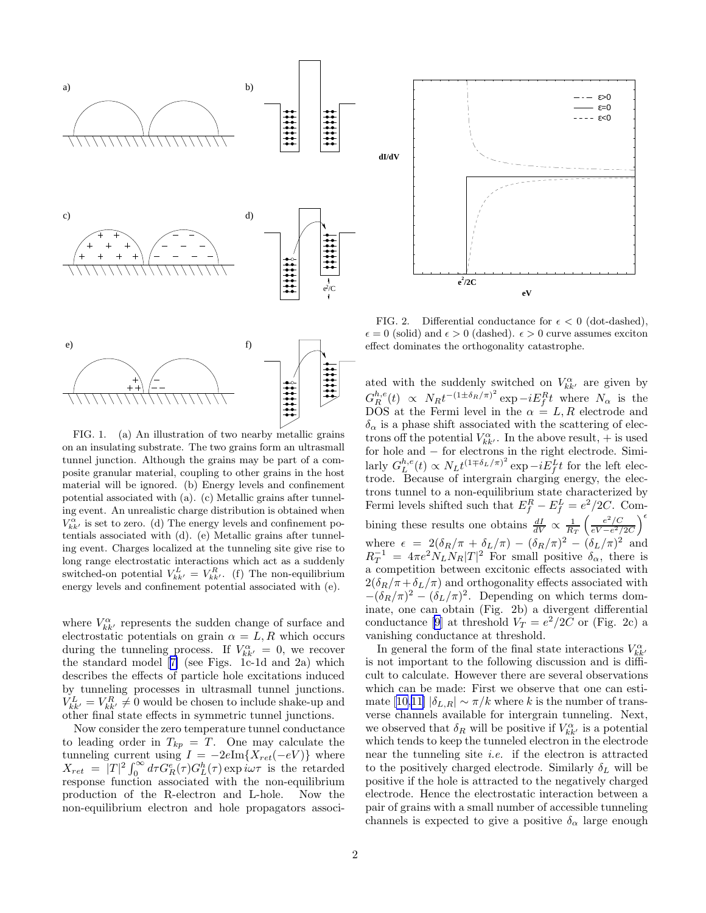<span id="page-1-0"></span>



on an insulating substrate. The two grains form an ultrasmall tunnel junction. Although the grains may be part of a composite granular material, coupling to other grains in the host material will be ignored. (b) Energy levels and confinement potential associated with (a). (c) Metallic grains after tunneling event. An unrealistic charge distribution is obtained when  $V^{\alpha}_{kk'}$  is set to zero. (d) The energy levels and confinement potentials associated with (d). (e) Metallic grains after tunneling event. Charges localized at the tunneling site give rise to long range electrostatic interactions which act as a suddenly switched-on potential  $V_{kk'}^L = V_{kk'}^R$ . (f) The non-equilibrium energy levels and confinement potential associated with (e).

where  $V^{\alpha}_{kk'}$  represents the sudden change of surface and electrostatic potentials on grain  $\alpha = L, R$  which occurs during the tunneling process. If  $V_{kk'}^{\alpha} = 0$ , we recover the standard model[[7\]](#page-4-0) (see Figs. 1c-1d and 2a) which describes the effects of particle hole excitations induced by tunneling processes in ultrasmall tunnel junctions.  $V_{kk'}^L = V_{kk'}^R \neq 0$  would be chosen to include shake-up and other final state effects in symmetric tunnel junctions.

Now consider the zero temperature tunnel conductance to leading order in  $T_{kp} = T$ . One may calculate the tunneling current using  $I = -2e\text{Im}\{X_{ret}(-eV)\}\$  where  $X_{ret} = |T|^2 \int_0^{\infty} d\tau G_R^e(\tau) G_L^h(\tau) \exp i\omega \tau$  is the retarded response function associated with the non-equilibrium production of the R-electron and L-hole. Now the non-equilibrium electron and hole propagators associ-



FIG. 2. Differential conductance for  $\epsilon < 0$  (dot-dashed),  $\epsilon = 0$  (solid) and  $\epsilon > 0$  (dashed).  $\epsilon > 0$  curve assumes exciton effect dominates the orthogonality catastrophe.

ated with the suddenly switched on  $V_{kk'}^{\alpha}$  are given by  $G_R^{h,e}(t) \propto N_R t^{-(1\pm\delta_R/\pi)^2} \exp{-iE_f^R t}$  where  $N_\alpha$  is the DOS at the Fermi level in the  $\alpha = L, R$  electrode and  $\delta_{\alpha}$  is a phase shift associated with the scattering of electrons off the potential  $V_{kk'}^{\alpha}$ . In the above result,  $+$  is used for hole and  $-$  for electrons in the right electrode. Similarly  $G_L^{h,e}(t) \propto N_L t^{(1+\delta_L/\pi)^2} \exp{-iE_f^L t}$  for the left electrode. Because of intergrain charging energy, the electrons tunnel to a non-equilibrium state characterized by Fermi levels shifted such that  $E_f^R - E_f^L = e^2/2C$ . Combining these results one obtains  $\frac{dI}{dV} \propto \frac{1}{R_T} \left( \frac{e^2/C}{eV - e^2/C} \right)$  $\frac{e^2/C}{eV-e^2/2C}$  $\Big)$ <sup> $\epsilon$ </sup> where  $\epsilon = 2(\delta_R/\pi + \delta_L/\pi) - (\delta_R/\pi)^2 - (\delta_L/\pi)^2$  and  $R_T^{-1} = 4\pi e^2 N_L N_R |T|^2$  For small positive  $\delta_{\alpha}$ , there is a competition between excitonic effects associated with  $2(\delta_R/\pi+\delta_L/\pi)$  and orthogonality effects associated with  $-(\delta_R/\pi)^2 - (\delta_L/\pi)^2$ . Depending on which terms dominate, one can obtain (Fig. 2b) a divergent differential conductance [\[9](#page-4-0)] at threshold  $V_T = e^2/2C$  or (Fig. 2c) a vanishing conductance at threshold.

In general the form of the final state interactions  $V^\alpha_{kk'}$ is not important to the following discussion and is difficult to calculate. However there are several observations which can be made: First we observe that one can esti-mate[[10,11\]](#page-4-0)  $|\delta_{L,R}| \sim \pi/k$  where k is the number of transverse channels available for intergrain tunneling. Next, we observed that  $\delta_R$  will be positive if  $V_{kk'}^{\alpha}$  is a potential which tends to keep the tunneled electron in the electrode near the tunneling site *i.e.* if the electron is attracted to the positively charged electrode. Similarly  $\delta_L$  will be positive if the hole is attracted to the negatively charged electrode. Hence the electrostatic interaction between a pair of grains with a small number of accessible tunneling channels is expected to give a positive  $\delta_{\alpha}$  large enough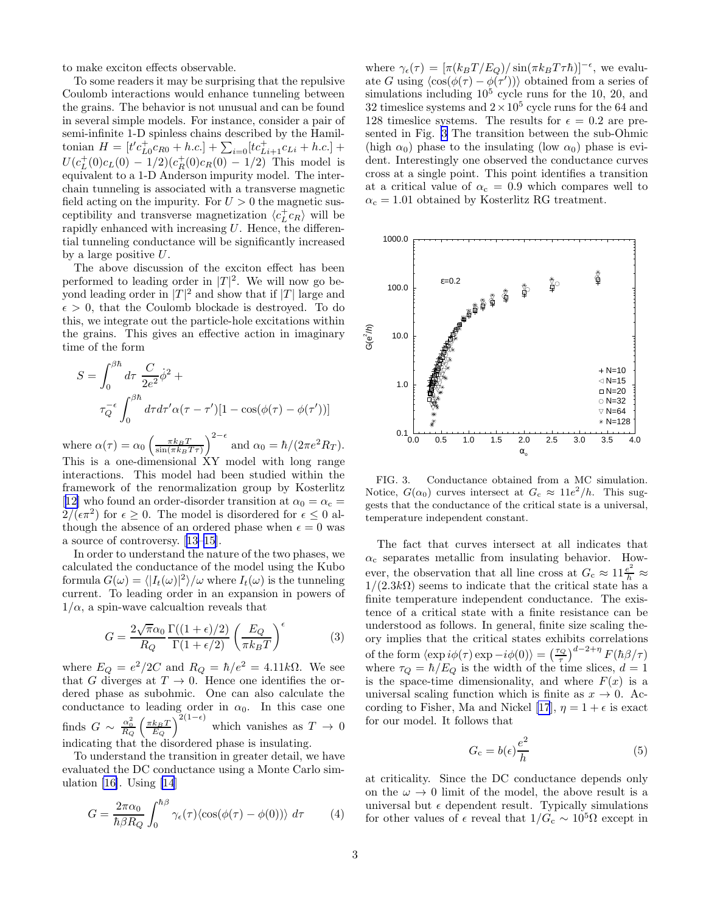<span id="page-2-0"></span>to make exciton effects observable.

To some readers it may be surprising that the repulsive Coulomb interactions would enhance tunneling between the grains. The behavior is not unusual and can be found in several simple models. For instance, consider a pair of semi-infinite 1-D spinless chains described by the Hamiltonian  $H = [t'c_{L0}^+ c_{R0} + h.c.] + \sum_{i=0} [tc_{Li+1}^+ c_{Li} + h.c.] +$  $U(c_L^+(0)c_L(0) - 1/2)(c_R^+(0)c_R(0) - 1/2)$  This model is equivalent to a 1-D Anderson impurity model. The interchain tunneling is associated with a transverse magnetic field acting on the impurity. For  $U > 0$  the magnetic susceptibility and transverse magnetization  $\langle c^+_{L} c_R \rangle$  will be rapidly enhanced with increasing  $U$ . Hence, the differential tunneling conductance will be significantly increased by a large positive U.

The above discussion of the exciton effect has been performed to leading order in  $|T|^2$ . We will now go beyond leading order in  $|T|^2$  and show that if  $|T|$  large and  $\epsilon > 0$ , that the Coulomb blockade is destroyed. To do this, we integrate out the particle-hole excitations within the grains. This gives an effective action in imaginary time of the form

$$
S = \int_0^{\beta \hbar} d\tau \frac{C}{2e^2} \dot{\phi}^2 +
$$

$$
\tau_Q^{-\epsilon} \int_0^{\beta \hbar} d\tau d\tau' \alpha (\tau - \tau')[1 - \cos(\phi(\tau) - \phi(\tau'))]
$$

where  $\alpha(\tau) = \alpha_0 \left(\frac{\pi k_B T}{\sin(\pi k_B T \tau)}\right)^{2-\epsilon}$  and  $\alpha_0 = \hbar/(2\pi e^2 R_T)$ . This is a one-dimensional XY model with long range interactions. This model had been studied within the framework of the renormalization group by Kosterlitz [[12\]](#page-4-0) who found an order-disorder transition at  $\alpha_0 = \alpha_c =$  $2/(\epsilon \pi^2)$  for  $\epsilon \geq 0$ . The model is disordered for  $\epsilon \leq 0$  although the absence of an ordered phase when  $\epsilon = 0$  was a source of controversy.[[13–15\]](#page-4-0).

In order to understand the nature of the two phases, we calculated the conductance of the model using the Kubo formula  $G(\omega) = \langle |I_t(\omega)|^2 \rangle / \omega$  where  $I_t(\omega)$  is the tunneling current. To leading order in an expansion in powers of  $1/\alpha$ , a spin-wave calcualtion reveals that

$$
G = \frac{2\sqrt{\pi}\alpha_0}{R_Q} \frac{\Gamma((1+\epsilon)/2)}{\Gamma(1+\epsilon/2)} \left(\frac{E_Q}{\pi k_B T}\right)^{\epsilon} \tag{3}
$$

where  $E_Q = e^2/2C$  and  $R_Q = \hbar/e^2 = 4.11k\Omega$ . We see that G diverges at  $T \to 0$ . Hence one identifies the ordered phase as subohmic. One can also calculate the conductance to leading order in  $\alpha_0$ . In this case one finds  $G \sim \frac{\alpha_0^2}{R_Q} \left(\frac{\pi k_B T}{E_Q}\right)^{2(1-\epsilon)}$  which vanishes as  $T \to 0$ indicating that the disordered phase is insulating.

To understand the transition in greater detail, we have evaluated the DC conductance using a Monte Carlo simulation  $[16]$ . Using  $[14]$ 

$$
G = \frac{2\pi\alpha_0}{\hbar\beta R_Q} \int_0^{\hbar\beta} \gamma_\epsilon(\tau) \langle \cos(\phi(\tau) - \phi(0)) \rangle \, d\tau \tag{4}
$$

where  $\gamma_{\epsilon}(\tau) = [\pi (k_B T/E_Q) / \sin(\pi k_B T \tau \hbar)]^{-\epsilon}$ , we evaluate G using  $\langle \cos(\phi(\tau) - \phi(\tau')) \rangle$  obtained from a series of simulations including  $10^5$  cycle runs for the 10, 20, and 32 timeslice systems and  $2 \times 10^5$  cycle runs for the 64 and 128 timeslice systems. The results for  $\epsilon = 0.2$  are presented in Fig. 3 The transition between the sub-Ohmic (high  $\alpha_0$ ) phase to the insulating (low  $\alpha_0$ ) phase is evident. Interestingly one observed the conductance curves cross at a single point. This point identifies a transition at a critical value of  $\alpha_c = 0.9$  which compares well to  $\alpha_c = 1.01$  obtained by Kosterlitz RG treatment.



FIG. 3. Conductance obtained from a MC simulation. Notice,  $G(\alpha_0)$  curves intersect at  $G_c \approx 11e^2/h$ . This suggests that the conductance of the critical state is a universal, temperature independent constant.

The fact that curves intersect at all indicates that  $\alpha_c$  separates metallic from insulating behavior. However, the observation that all line cross at  $G_c \approx 11 \frac{e^2}{h} \approx$  $1/(2.3k\Omega)$  seems to indicate that the critical state has a finite temperature independent conductance. The existence of a critical state with a finite resistance can be understood as follows. In general, finite size scaling theory implies that the critical states exhibits correlations of the form  $\langle \exp i\phi(\tau) \exp -i\phi(0) \rangle = \left(\frac{\tau_Q}{\tau}\right)^{d-2+\eta} F(\hbar \beta/\tau)$ where  $\tau_Q = \hbar/E_Q$  is the width of the time slices,  $d = 1$ is the space-time dimensionality, and where  $F(x)$  is a universal scaling function which is finite as  $x \to 0$ . Ac-cording to Fisher, Ma and Nickel [\[17](#page-4-0)],  $\eta = 1 + \epsilon$  is exact for our model. It follows that

$$
G_{\rm c} = b(\epsilon) \frac{e^2}{h} \tag{5}
$$

at criticality. Since the DC conductance depends only on the  $\omega \rightarrow 0$  limit of the model, the above result is a universal but  $\epsilon$  dependent result. Typically simulations for other values of  $\epsilon$  reveal that  $1/G_c \sim 10^5 \Omega$  except in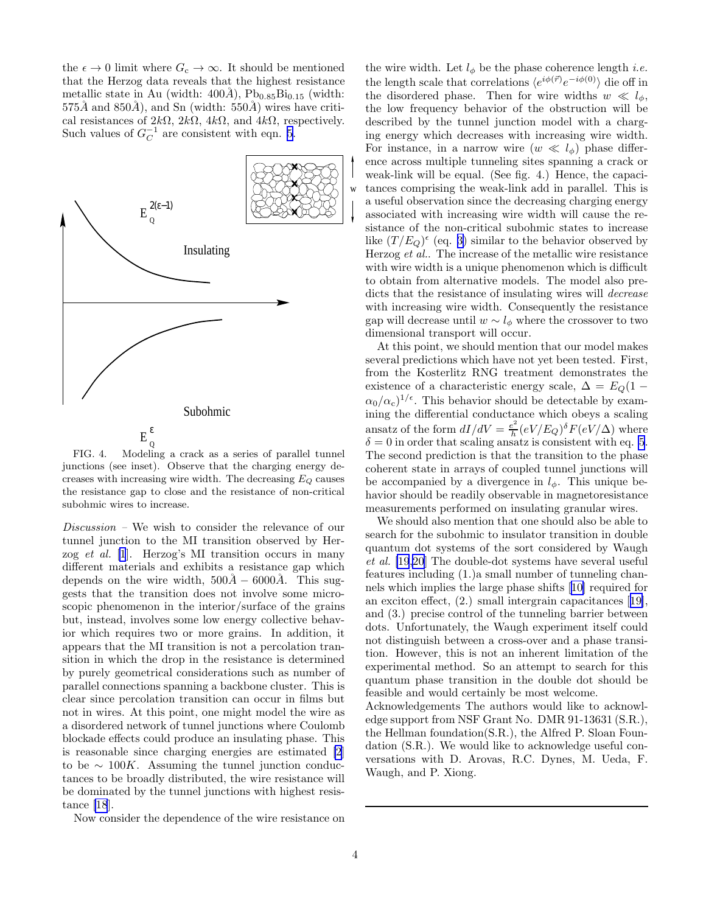the  $\epsilon \to 0$  limit where  $G_c \to \infty$ . It should be mentioned that the Herzog data reveals that the highest resistance metallic state in Au (width:  $400\AA$ ), Pb<sub>0.85</sub>Bi<sub>0.15</sub> (width:  $575\AA$  and  $850\AA$ ), and Sn (width:  $550\AA$ ) wires have critical resistances of  $2k\Omega$ ,  $2k\Omega$ ,  $4k\Omega$ , and  $4k\Omega$ , respectively. Such values of  $G_C^{-1}$  are consistent with eqn. [5](#page-2-0).



FIG. 4. Modeling a crack as a series of parallel tunnel junctions (see inset). Observe that the charging energy decreases with increasing wire width. The decreasing  $E_Q$  causes the resistance gap to close and the resistance of non-critical subohmic wires to increase.

Discussion – We wish to consider the relevance of our tunnel junction to the MI transition observed by Herzog et al. [\[1](#page-4-0)]. Herzog's MI transition occurs in many different materials and exhibits a resistance gap which depends on the wire width,  $500A - 6000A$ . This suggests that the transition does not involve some microscopic phenomenon in the interior/surface of the grains but, instead, involves some low energy collective behavior which requires two or more grains. In addition, it appears that the MI transition is not a percolation transition in which the drop in the resistance is determined by purely geometrical considerations such as number of parallel connections spanning a backbone cluster. This is clear since percolation transition can occur in films but not in wires. At this point, one might model the wire as a disordered network of tunnel junctions where Coulomb blockade effects could produce an insulating phase. This is reasonable since charging energies are estimated [\[2](#page-4-0)] to be  $\sim 100K$ . Assuming the tunnel junction conductances to be broadly distributed, the wire resistance will be dominated by the tunnel junctions with highest resistance [\[18](#page-4-0)].

Now consider the dependence of the wire resistance on

the wire width. Let  $l_{\phi}$  be the phase coherence length *i.e.* the length scale that correlations  $\langle e^{i\phi(\vec{r})}e^{-i\phi(0)} \rangle$  die off in the disordered phase. Then for wire widths  $w \ll l_{\phi}$ , the low frequency behavior of the obstruction will be described by the tunnel junction model with a charging energy which decreases with increasing wire width. For instance, in a narrow wire  $(w \ll l_{\phi})$  phase difference across multiple tunneling sites spanning a crack or weak-link will be equal. (See fig. 4.) Hence, the capacitances comprising the weak-link add in parallel. This is a useful observation since the decreasing charging energy associated with increasing wire width will cause the resistance of the non-critical subohmic states to increase like  $(T/E_Q)$ <sup> $\epsilon$ </sup> (eq. [3\)](#page-2-0) similar to the behavior observed by Herzog et al.. The increase of the metallic wire resistance with wire width is a unique phenomenon which is difficult to obtain from alternative models. The model also predicts that the resistance of insulating wires will decrease with increasing wire width. Consequently the resistance gap will decrease until  $w \sim l_{\phi}$  where the crossover to two dimensional transport will occur.

At this point, we should mention that our model makes several predictions which have not yet been tested. First, from the Kosterlitz RNG treatment demonstrates the existence of a characteristic energy scale,  $\Delta = E_Q(1 \alpha_0/\alpha_c$ <sup> $1/\epsilon$ </sup>. This behavior should be detectable by examining the differential conductance which obeys a scaling ansatz of the form  $dI/dV = \frac{e^2}{h}$  $\frac{e^2}{h}(eV/E_Q)^{\delta}F(eV/\Delta)$  where  $\delta = 0$  in order that scaling ansatz is consistent with eq. [5](#page-2-0). The second prediction is that the transition to the phase coherent state in arrays of coupled tunnel junctions will be accompanied by a divergence in  $l_{\phi}$ . This unique behavior should be readily observable in magnetoresistance measurements performed on insulating granular wires.

We should also mention that one should also be able to search for the subohmic to insulator transition in double quantum dot systems of the sort considered by Waugh et al. [\[19,20](#page-4-0)] The double-dot systems have several useful features including (1.)a small number of tunneling channels which implies the large phase shifts[[10\]](#page-4-0) required for an exciton effect, (2.) small intergrain capacitances[[19\]](#page-4-0), and (3.) precise control of the tunneling barrier between dots. Unfortunately, the Waugh experiment itself could not distinguish between a cross-over and a phase transition. However, this is not an inherent limitation of the experimental method. So an attempt to search for this quantum phase transition in the double dot should be feasible and would certainly be most welcome.

Acknowledgements The authors would like to acknowledge support from NSF Grant No. DMR 91-13631 (S.R.), the Hellman foundation(S.R.), the Alfred P. Sloan Foundation (S.R.). We would like to acknowledge useful conversations with D. Arovas, R.C. Dynes, M. Ueda, F. Waugh, and P. Xiong.

w